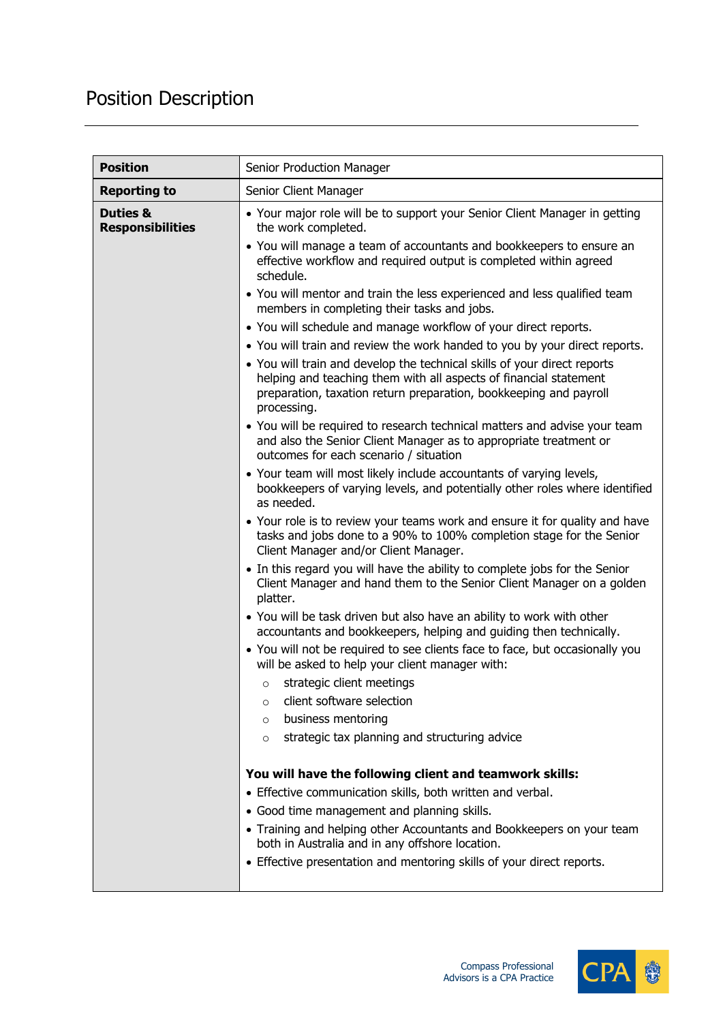## Position Description

| <b>Position</b>                                | Senior Production Manager                                                                                                                                                                                                         |
|------------------------------------------------|-----------------------------------------------------------------------------------------------------------------------------------------------------------------------------------------------------------------------------------|
| <b>Reporting to</b>                            | Senior Client Manager                                                                                                                                                                                                             |
| <b>Duties &amp;</b><br><b>Responsibilities</b> | • Your major role will be to support your Senior Client Manager in getting<br>the work completed.                                                                                                                                 |
|                                                | • You will manage a team of accountants and bookkeepers to ensure an<br>effective workflow and required output is completed within agreed<br>schedule.                                                                            |
|                                                | • You will mentor and train the less experienced and less qualified team<br>members in completing their tasks and jobs.                                                                                                           |
|                                                | • You will schedule and manage workflow of your direct reports.                                                                                                                                                                   |
|                                                | • You will train and review the work handed to you by your direct reports.                                                                                                                                                        |
|                                                | • You will train and develop the technical skills of your direct reports<br>helping and teaching them with all aspects of financial statement<br>preparation, taxation return preparation, bookkeeping and payroll<br>processing. |
|                                                | • You will be required to research technical matters and advise your team<br>and also the Senior Client Manager as to appropriate treatment or<br>outcomes for each scenario / situation                                          |
|                                                | . Your team will most likely include accountants of varying levels,<br>bookkeepers of varying levels, and potentially other roles where identified<br>as needed.                                                                  |
|                                                | • Your role is to review your teams work and ensure it for quality and have<br>tasks and jobs done to a 90% to 100% completion stage for the Senior<br>Client Manager and/or Client Manager.                                      |
|                                                | • In this regard you will have the ability to complete jobs for the Senior<br>Client Manager and hand them to the Senior Client Manager on a golden<br>platter.                                                                   |
|                                                | • You will be task driven but also have an ability to work with other<br>accountants and bookkeepers, helping and guiding then technically.                                                                                       |
|                                                | • You will not be required to see clients face to face, but occasionally you<br>will be asked to help your client manager with:                                                                                                   |
|                                                | strategic client meetings<br>$\circ$                                                                                                                                                                                              |
|                                                | client software selection<br>$\circ$                                                                                                                                                                                              |
|                                                | business mentoring<br>$\circ$<br>strategic tax planning and structuring advice                                                                                                                                                    |
|                                                | $\circ$                                                                                                                                                                                                                           |
|                                                | You will have the following client and teamwork skills:                                                                                                                                                                           |
|                                                | • Effective communication skills, both written and verbal.                                                                                                                                                                        |
|                                                | • Good time management and planning skills.                                                                                                                                                                                       |
|                                                | • Training and helping other Accountants and Bookkeepers on your team<br>both in Australia and in any offshore location.                                                                                                          |
|                                                | • Effective presentation and mentoring skills of your direct reports.                                                                                                                                                             |